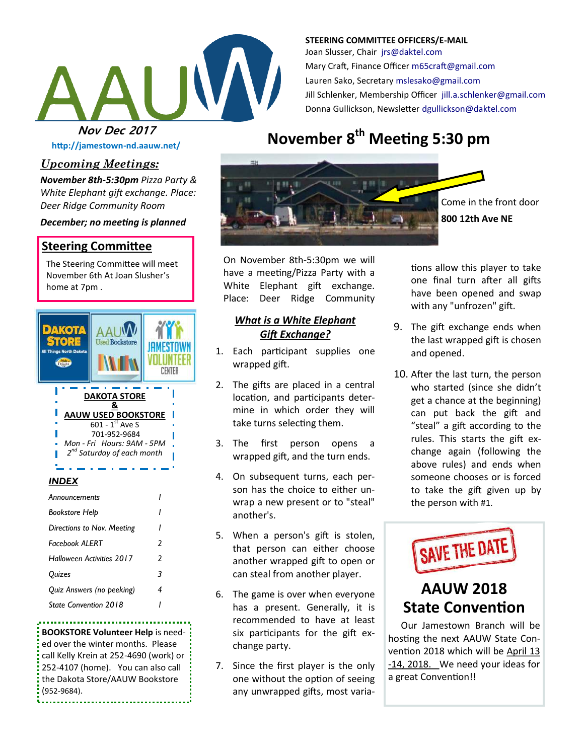

**STEERING COMMITTEE OFFICERS/E-MAIL** Joan Slusser, Chair [jrs@daktel.com](mailto:jrs@daktel.com) Mary Craft, Finance Officer [m65craft@gmail.com](mailto:m65craft@gmail.com) Lauren Sako, Secretary [mslesako@gmail.com](mailto:mslesako@gmail.com) Jill Schlenker, Membership Officer [jill.a.schlenker@gmail.com](mailto:jill.a.schlenker@gmail.com) Donna Gullickson, Newsletter [dgullickson@daktel.com](mailto:dgullickson@daktel.com)

**http://jamestown-nd.aauw.net/** 

# *Upcoming Meetings:*

*November 8th-5:30pm Pizza Party & White Elephant gift exchange. Place: Deer Ridge Community Room* 

### *December; no meeting is planned*

## **Steering Committee**

The Steering Committee will meet November 6th At Joan Slusher's home at 7pm .



### *INDEX*

| Announcements                |   |
|------------------------------|---|
| Bookstore Help               |   |
| Directions to Nov. Meeting   | ı |
| Facebook ALFRT               | 2 |
| Halloween Activities 2017    | 2 |
| Quizes                       | 3 |
| Quiz Answers (no peeking)    | 4 |
| <b>State Convention 2018</b> |   |

**BOOKSTORE Volunteer Help** is needed over the winter months. Please call Kelly Krein at 252-4690 (work) or 252-4107 (home). You can also call the Dakota Store/AAUW Bookstore (952-9684).

...............................

# **Nov Dec 2017**<br>**November 8<sup>th</sup> Meeting 5:30 pm**



Come in the front door **800 12th Ave NE**

On November 8th-5:30pm we will have a meeting/Pizza Party with a White Elephant gift exchange. Place: Deer Ridge Community

### *What is a White Elephant Gift Exchange?*

- 1. Each participant supplies one wrapped gift.
- 2. The gifts are placed in a central location, and participants determine in which order they will take turns selecting them.
- 3. The first person opens a wrapped gift, and the turn ends.
- 4. On subsequent turns, each person has the choice to either unwrap a new present or to "steal" another's.
- 5. When a person's gift is stolen, that person can either choose another wrapped gift to open or can steal from another player.
- 6. The game is over when everyone has a present. Generally, it is recommended to have at least six participants for the gift exchange party.
- 7. Since the first player is the only one without the option of seeing any unwrapped gifts, most varia-

tions allow this player to take one final turn after all gifts have been opened and swap with any "unfrozen" gift.

- 9. The gift exchange ends when the last wrapped gift is chosen and opened.
- 10. After the last turn, the person who started (since she didn't get a chance at the beginning) can put back the gift and "steal" a gift according to the rules. This starts the gift exchange again (following the above rules) and ends when someone chooses or is forced to take the gift given up by the person with #1.



# **AAUW 2018 State Convention**

Our Jamestown Branch will be hosting the next AAUW State Convention 2018 which will be April 13 -14, 2018. We need your ideas for a great Convention!!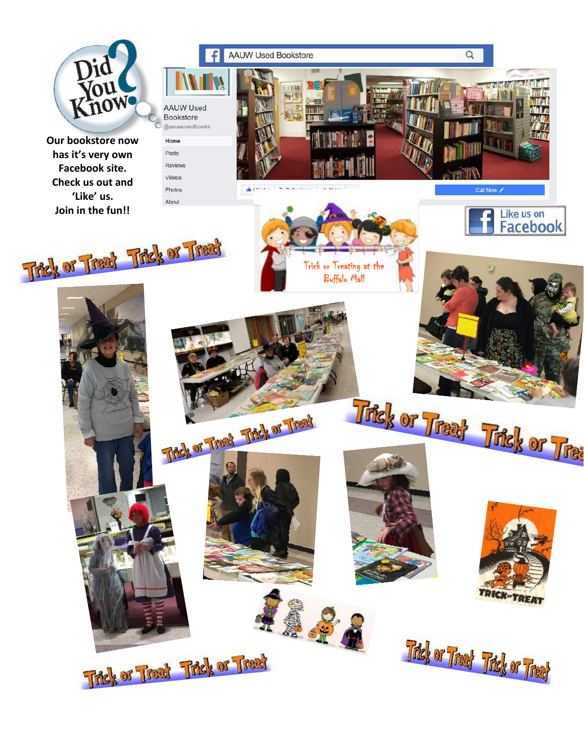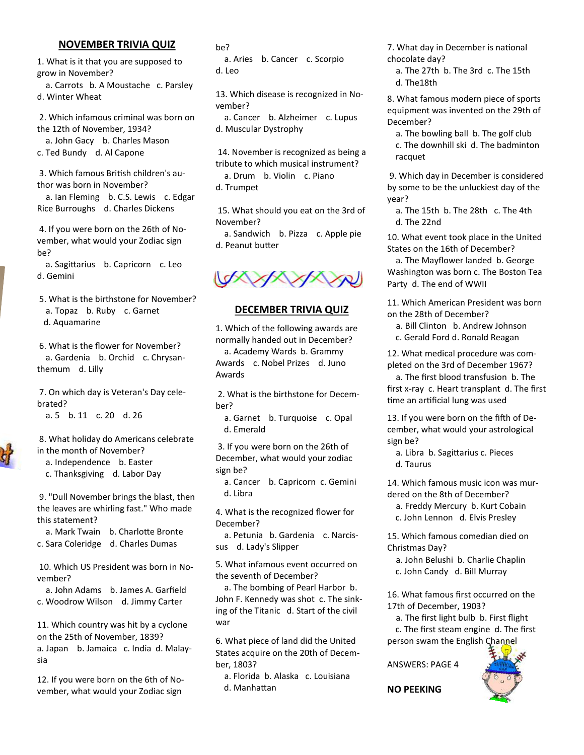### **NOVEMBER TRIVIA QUIZ**

1. What is it that you are supposed to grow in November? a. Carrots b. A Moustache c. Parsley

d. Winter Wheat

2. Which infamous criminal was born on the 12th of November, 1934? a. John Gacy b. Charles Mason c. Ted Bundy d. Al Capone

3. Which famous British children's author was born in November?

 a. Ian Fleming b. C.S. Lewis c. Edgar Rice Burroughs d. Charles Dickens

4. If you were born on the 26th of November, what would your Zodiac sign be?

 a. Sagittarius b. Capricorn c. Leo d. Gemini

5. What is the birthstone for November? a. Topaz b. Ruby c. Garnet d. Aquamarine

6. What is the flower for November? a. Gardenia b. Orchid c. Chrysanthemum d. Lilly

7. On which day is Veteran's Day celebrated?

a. 5 b. 11 c. 20 d. 26

8. What holiday do Americans celebrate in the month of November?

 a. Independence b. Easter c. Thanksgiving d. Labor Day

9. "Dull November brings the blast, then the leaves are whirling fast." Who made this statement?

 a. Mark Twain b. Charlotte Bronte c. Sara Coleridge d. Charles Dumas

10. Which US President was born in November?

 a. John Adams b. James A. Garfield c. Woodrow Wilson d. Jimmy Carter

11. Which country was hit by a cyclone on the 25th of November, 1839? a. Japan b. Jamaica c. India d. Malaysia

12. If you were born on the 6th of November, what would your Zodiac sign

#### be?

 a. Aries b. Cancer c. Scorpio d. Leo

13. Which disease is recognized in November?

 a. Cancer b. Alzheimer c. Lupus d. Muscular Dystrophy

14. November is recognized as being a tribute to which musical instrument? a. Drum b. Violin c. Piano

d. Trumpet

15. What should you eat on the 3rd of November?

 a. Sandwich b. Pizza c. Apple pie d. Peanut butter



### **DECEMBER TRIVIA QUIZ**

1. Which of the following awards are normally handed out in December?

 a. Academy Wards b. Grammy Awards c. Nobel Prizes d. Juno Awards

2. What is the birthstone for December?

 a. Garnet b. Turquoise c. Opal d. Emerald

3. If you were born on the 26th of December, what would your zodiac sign be?

 a. Cancer b. Capricorn c. Gemini d. Libra

4. What is the recognized flower for December?

 a. Petunia b. Gardenia c. Narcissus d. Lady's Slipper

5. What infamous event occurred on the seventh of December?

 a. The bombing of Pearl Harbor b. John F. Kennedy was shot c. The sinking of the Titanic d. Start of the civil war

6. What piece of land did the United States acquire on the 20th of December, 1803?

 a. Florida b. Alaska c. Louisiana d. Manhattan

7. What day in December is national chocolate day?

 a. The 27th b. The 3rd c. The 15th d. The18th

8. What famous modern piece of sports equipment was invented on the 29th of December?

 a. The bowling ball b. The golf club c. The downhill ski d. The badminton racquet

9. Which day in December is considered by some to be the unluckiest day of the year?

 a. The 15th b. The 28th c. The 4th d. The 22nd

10. What event took place in the United States on the 16th of December?

 a. The Mayflower landed b. George Washington was born c. The Boston Tea Party d. The end of WWII

11. Which American President was born on the 28th of December?

 a. Bill Clinton b. Andrew Johnson c. Gerald Ford d. Ronald Reagan

12. What medical procedure was completed on the 3rd of December 1967?

 a. The first blood transfusion b. The first x-ray c. Heart transplant d. The first time an artificial lung was used

13. If you were born on the fifth of December, what would your astrological sign be?

 a. Libra b. Sagittarius c. Pieces d. Taurus

14. Which famous music icon was murdered on the 8th of December? a. Freddy Mercury b. Kurt Cobain c. John Lennon d. Elvis Presley

15. Which famous comedian died on Christmas Day?

 a. John Belushi b. Charlie Chaplin c. John Candy d. Bill Murray

16. What famous first occurred on the 17th of December, 1903?

 a. The first light bulb b. First flight c. The first steam engine d. The first person swam the English Channel

ANSWERS: PAGE 4



**NO PEEKING**